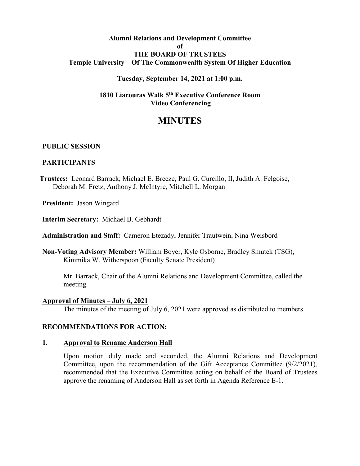# **Alumni Relations and Development Committee of THE BOARD OF TRUSTEES Temple University – Of The Commonwealth System Of Higher Education**

## **Tuesday, September 14, 2021 at 1:00 p.m.**

# **1810 Liacouras Walk 5th Executive Conference Room Video Conferencing**

# **MINUTES**

### **PUBLIC SESSION**

### **PARTICIPANTS**

**Trustees:** Leonard Barrack, Michael E. Breeze**,** Paul G. Curcillo, II, Judith A. Felgoise, Deborah M. Fretz, Anthony J. McIntyre, Mitchell L. Morgan

**President:** Jason Wingard

**Interim Secretary:** Michael B. Gebhardt

**Administration and Staff:** Cameron Etezady, Jennifer Trautwein, Nina Weisbord

**Non-Voting Advisory Member:** William Boyer, Kyle Osborne, Bradley Smutek (TSG), Kimmika W. Witherspoon (Faculty Senate President)

Mr. Barrack, Chair of the Alumni Relations and Development Committee, called the meeting.

#### **Approval of Minutes – July 6, 2021**

The minutes of the meeting of July 6, 2021 were approved as distributed to members.

## **RECOMMENDATIONS FOR ACTION:**

#### **1. Approval to Rename Anderson Hall**

Upon motion duly made and seconded, the Alumni Relations and Development Committee, upon the recommendation of the Gift Acceptance Committee (9/2/2021), recommended that the Executive Committee acting on behalf of the Board of Trustees approve the renaming of Anderson Hall as set forth in Agenda Reference E-1.